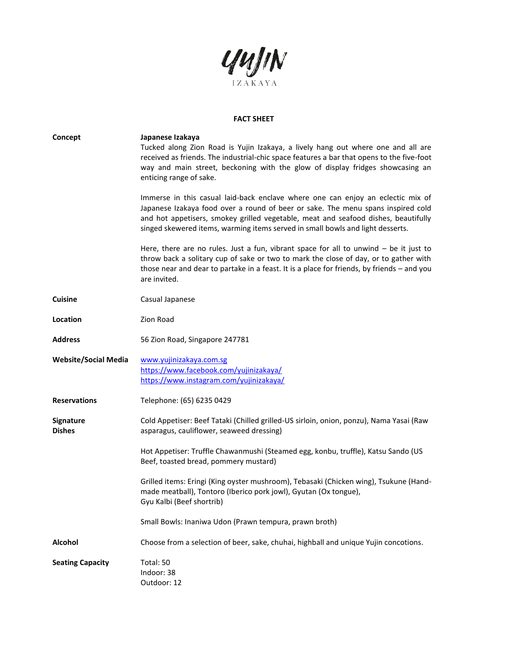

## **FACT SHEET**

| Concept                           | Japanese Izakaya<br>Tucked along Zion Road is Yujin Izakaya, a lively hang out where one and all are<br>received as friends. The industrial-chic space features a bar that opens to the five-foot<br>way and main street, beckoning with the glow of display fridges showcasing an<br>enticing range of sake.<br>Immerse in this casual laid-back enclave where one can enjoy an eclectic mix of<br>Japanese Izakaya food over a round of beer or sake. The menu spans inspired cold<br>and hot appetisers, smokey grilled vegetable, meat and seafood dishes, beautifully<br>singed skewered items, warming items served in small bowls and light desserts.<br>Here, there are no rules. Just a fun, vibrant space for all to unwind - be it just to |
|-----------------------------------|-------------------------------------------------------------------------------------------------------------------------------------------------------------------------------------------------------------------------------------------------------------------------------------------------------------------------------------------------------------------------------------------------------------------------------------------------------------------------------------------------------------------------------------------------------------------------------------------------------------------------------------------------------------------------------------------------------------------------------------------------------|
|                                   | throw back a solitary cup of sake or two to mark the close of day, or to gather with<br>those near and dear to partake in a feast. It is a place for friends, by friends - and you<br>are invited.                                                                                                                                                                                                                                                                                                                                                                                                                                                                                                                                                    |
| <b>Cuisine</b>                    | Casual Japanese                                                                                                                                                                                                                                                                                                                                                                                                                                                                                                                                                                                                                                                                                                                                       |
| Location                          | Zion Road                                                                                                                                                                                                                                                                                                                                                                                                                                                                                                                                                                                                                                                                                                                                             |
| <b>Address</b>                    | 56 Zion Road, Singapore 247781                                                                                                                                                                                                                                                                                                                                                                                                                                                                                                                                                                                                                                                                                                                        |
| <b>Website/Social Media</b>       | www.yujinizakaya.com.sg<br>https://www.facebook.com/yujinizakaya/<br>https://www.instagram.com/yujinizakaya/                                                                                                                                                                                                                                                                                                                                                                                                                                                                                                                                                                                                                                          |
| <b>Reservations</b>               | Telephone: (65) 6235 0429                                                                                                                                                                                                                                                                                                                                                                                                                                                                                                                                                                                                                                                                                                                             |
| <b>Signature</b><br><b>Dishes</b> | Cold Appetiser: Beef Tataki (Chilled grilled-US sirloin, onion, ponzu), Nama Yasai (Raw<br>asparagus, cauliflower, seaweed dressing)                                                                                                                                                                                                                                                                                                                                                                                                                                                                                                                                                                                                                  |
|                                   | Hot Appetiser: Truffle Chawanmushi (Steamed egg, konbu, truffle), Katsu Sando (US<br>Beef, toasted bread, pommery mustard)                                                                                                                                                                                                                                                                                                                                                                                                                                                                                                                                                                                                                            |
|                                   | Grilled items: Eringi (King oyster mushroom), Tebasaki (Chicken wing), Tsukune (Hand-<br>made meatball), Tontoro (Iberico pork jowl), Gyutan (Ox tongue),<br>Gyu Kalbi (Beef shortrib)                                                                                                                                                                                                                                                                                                                                                                                                                                                                                                                                                                |
|                                   | Small Bowls: Inaniwa Udon (Prawn tempura, prawn broth)                                                                                                                                                                                                                                                                                                                                                                                                                                                                                                                                                                                                                                                                                                |
| <b>Alcohol</b>                    | Choose from a selection of beer, sake, chuhai, highball and unique Yujin concotions.                                                                                                                                                                                                                                                                                                                                                                                                                                                                                                                                                                                                                                                                  |
| <b>Seating Capacity</b>           | Total: 50<br>Indoor: 38<br>Outdoor: 12                                                                                                                                                                                                                                                                                                                                                                                                                                                                                                                                                                                                                                                                                                                |